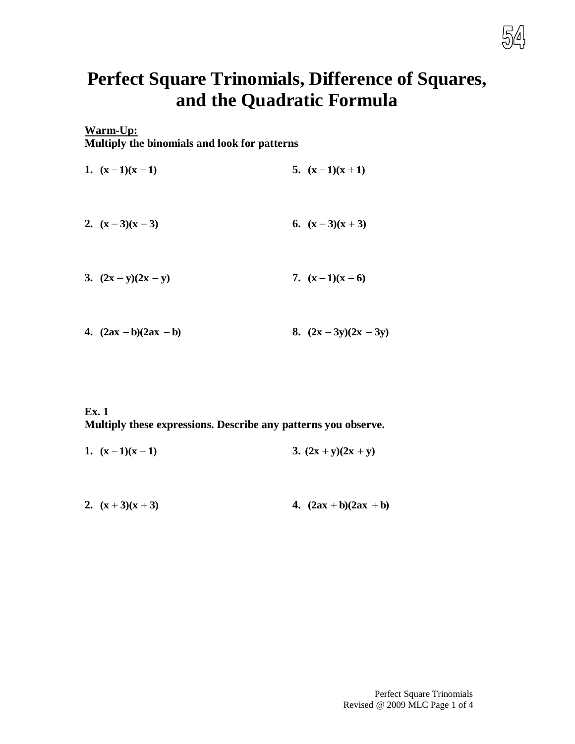

# **Perfect Square Trinomials, Difference of Squares, and the Quadratic Formula**

# **Warm-Up: Multiply the binomials and look for patterns**

| 1. $(x-1)(x-1)$       | 5. $(x-1)(x+1)$ |
|-----------------------|-----------------|
| 2. $(x-3)(x-3)$       | 6. $(x-3)(x+3)$ |
| 3. $(2x - y)(2x - y)$ | 7. $(x-1)(x-6)$ |
|                       |                 |

**4.**  $(2ax - b)(2ax - b)$ **8.**  $(2x - 3y)(2x - 3y)$ 

### **Ex. 1 Multiply these expressions. Describe any patterns you observe.**

| 1. $(x-1)(x-1)$ | 3. $(2x + y)(2x + y)$ |
|-----------------|-----------------------|
|                 |                       |

**2.**  $(x+3)(x+3)$ **4.**  $(2ax + b)(2ax + b)$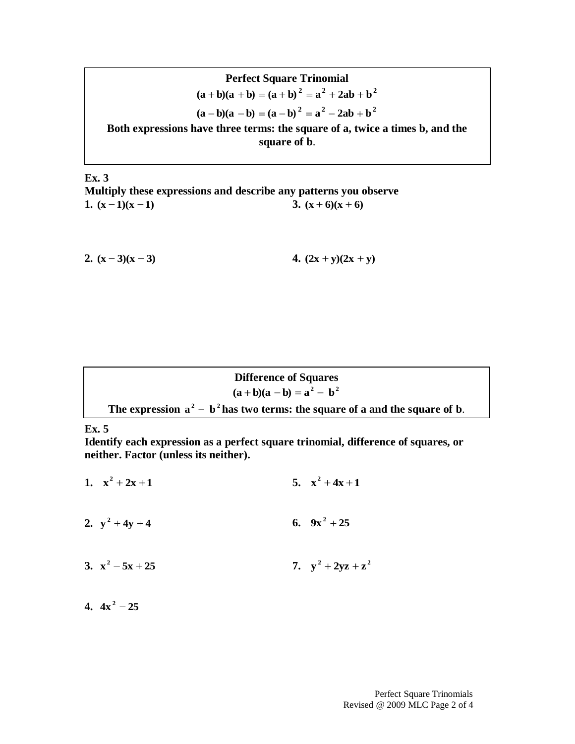Perfect Square Trinomial

\n
$$
(a + b)(a + b) = (a + b)^2 = a^2 + 2ab + b^2
$$
\n
$$
(a - b)(a - b) = (a - b)^2 = a^2 - 2ab + b^2
$$
\nBoth expressions have three terms: the square of a, twice a times b, and the square of b.

**Ex. 3 Multiply these expressions and describe any patterns you observe 1.**  $(x-1)(x-1)$ **3.**  $(x+6)(x+6)$ 

**2.**  $(x-3)(x-3)$ **4.**  $(2x + y)(2x + y)$ 

**Difference of Squares**  
\n(a + b)(a - b) = 
$$
a^2 - b^2
$$
  
\nThe expression  $a^2 - b^2$  has two terms: the square of a and the square of b.

#### **Ex. 5**

**Identify each expression as a perfect square trinomial, difference of squares, or neither. Factor (unless its neither).**

- **1.**  $x^2 + 2x + 1$ **5.**  $x^2 + 4x + 1$
- **2.**  $y^2 + 4y + 4$ **6.**  $9x^2 + 25$
- **3.**  $x^2 5x + 25$ **7.**  $y^2 + 2yz + z^2$

**4.**  $4x^2 - 25$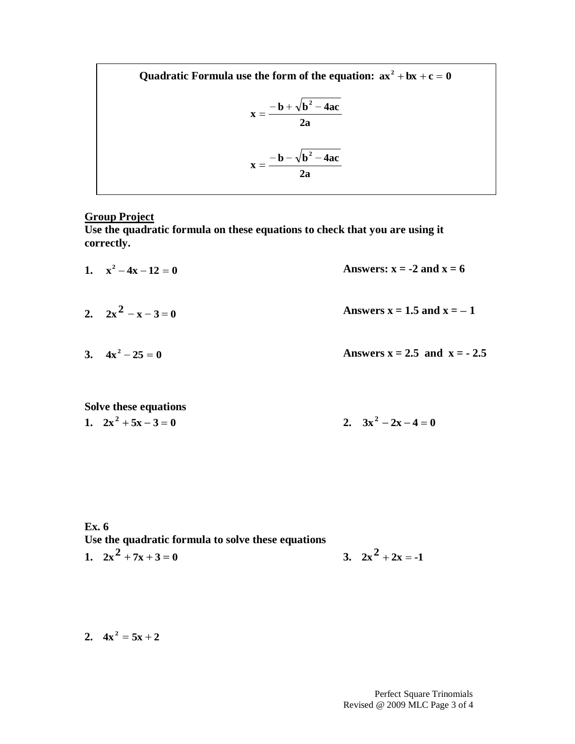Quadratic Formula use the form of the equation:  $ax^2 + bx + c = 0$ **2a**  $\mathbf{x} = \frac{-\mathbf{b} - \sqrt{\mathbf{b}^2 - 4\mathbf{a}\mathbf{c}}}{\sqrt{\mathbf{b}^2 - 4\mathbf{a}\mathbf{c}}}$ **2a**  $\mathbf{x} = \frac{-\mathbf{b} + \sqrt{\mathbf{b}^2 - 4\mathbf{a}\mathbf{c}}}{2}$ **2 2**

## **Group Project**

**Use the quadratic formula on these equations to check that you are using it correctly.**

- **1.**  $x^2 4x 12 = 0$ Answers:  $x = -2$  and  $x = 6$
- **2.**  $2x^2 x 3 = 0$ Answers  $x = 1.5$  and  $x = -1$
- **3.**  $4x^2 25 = 0$ Answers  $x = 2.5$  and  $x = -2.5$

# **Solve these equations 1.**  $2x^2 + 5x - 3 = 0$

2. 
$$
3x^2 - 2x - 4 = 0
$$

**Ex. 6 Use the quadratic formula to solve these equations 1.**  $2x^2 + 7x + 3 = 0$ **3.**  $2x^2 + 2x = -1$ 

**2.**  $4x^2 = 5x + 2$